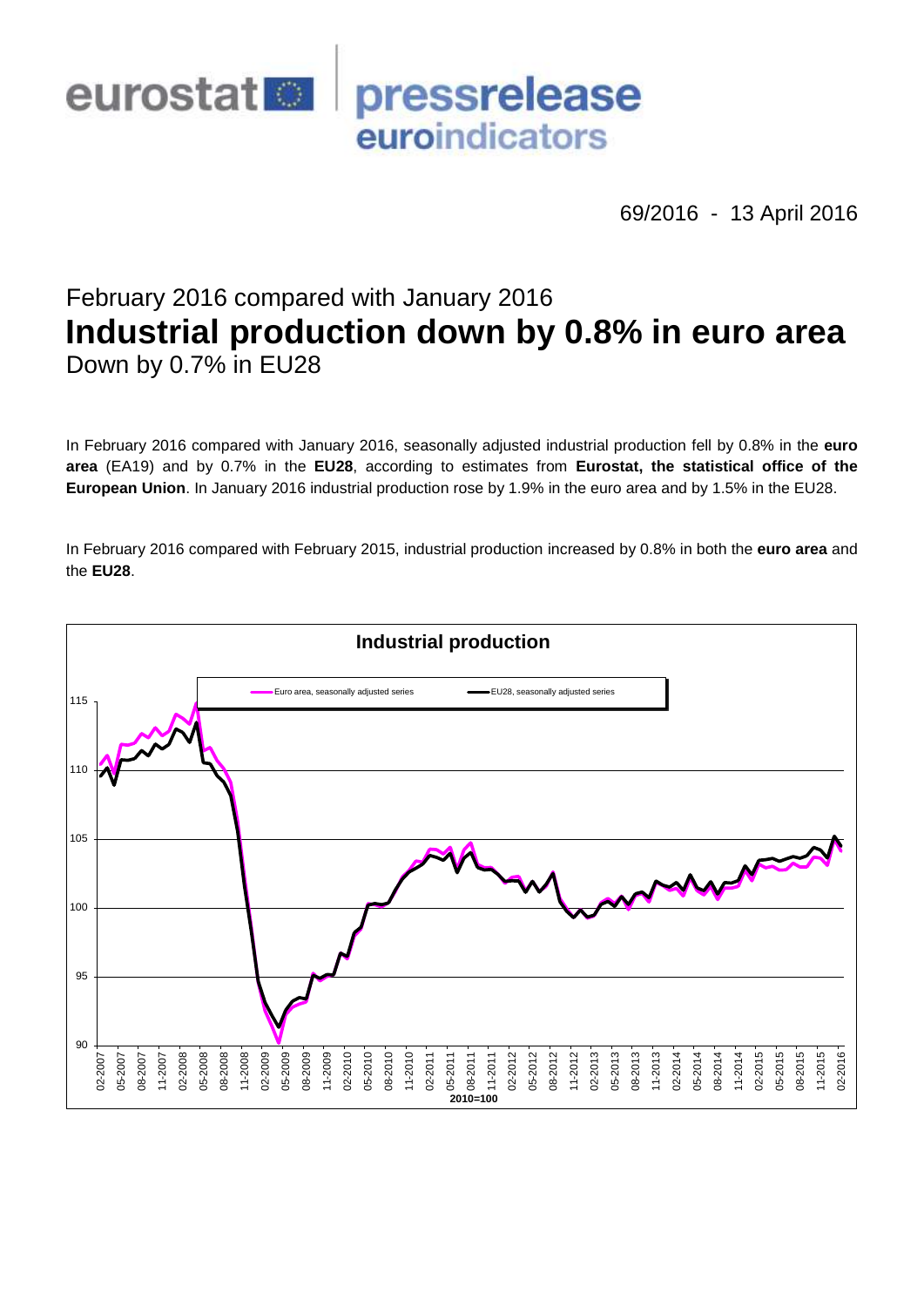

69/2016 - 13 April 2016

# February 2016 compared with January 2016 **Industrial production down by 0.8% in euro area** Down by 0.7% in EU28

In February 2016 compared with January 2016, seasonally adjusted industrial production fell by 0.8% in the **euro area** (EA19) and by 0.7% in the **EU28**, according to estimates from **Eurostat, the statistical office of the European Union**. In January 2016 industrial production rose by 1.9% in the euro area and by 1.5% in the EU28.

In February 2016 compared with February 2015, industrial production increased by 0.8% in both the **euro area** and the **EU28**.

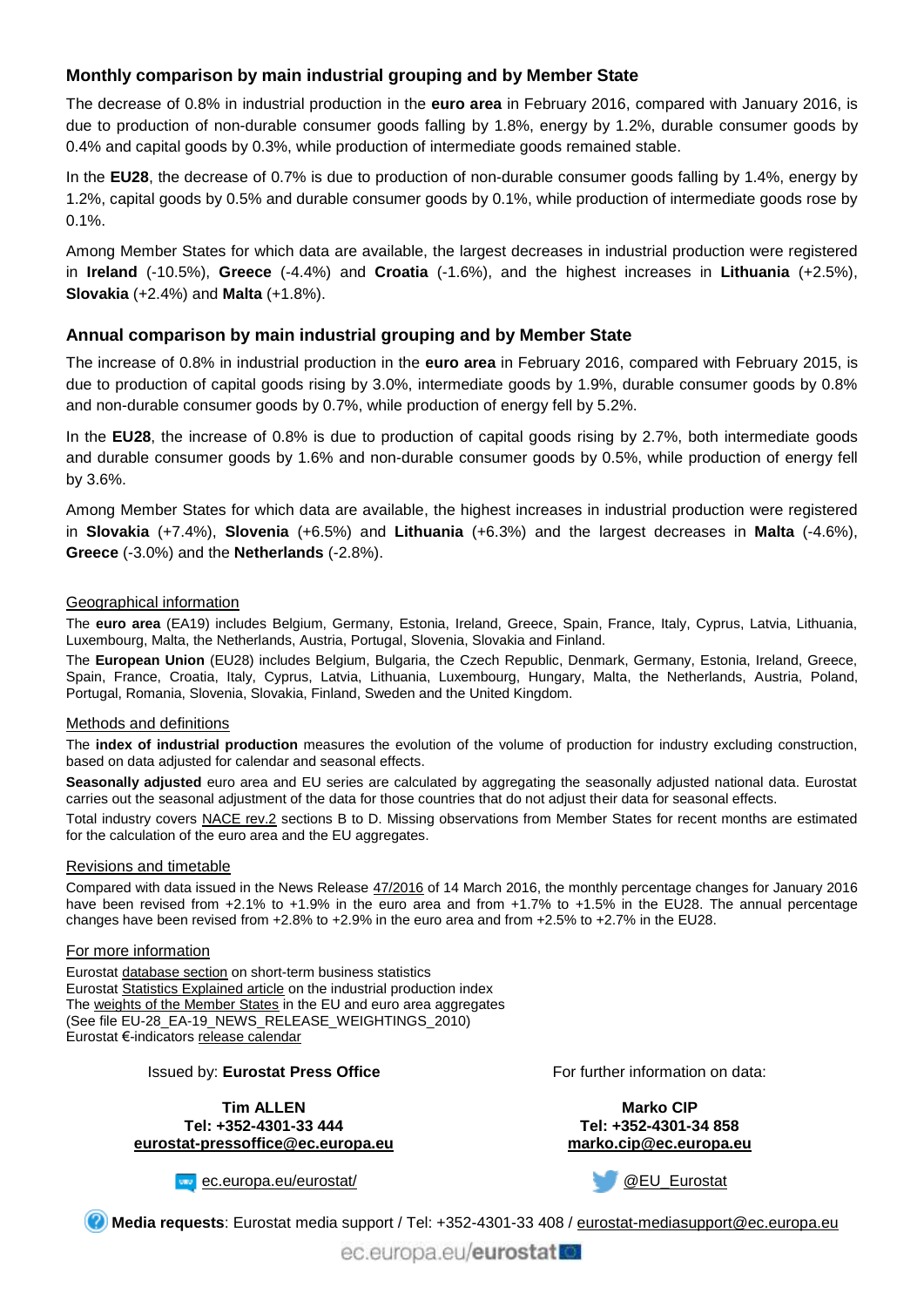## **Monthly comparison by main industrial grouping and by Member State**

The decrease of 0.8% in industrial production in the **euro area** in February 2016, compared with January 2016, is due to production of non-durable consumer goods falling by 1.8%, energy by 1.2%, durable consumer goods by 0.4% and capital goods by 0.3%, while production of intermediate goods remained stable.

In the **EU28**, the decrease of 0.7% is due to production of non-durable consumer goods falling by 1.4%, energy by 1.2%, capital goods by 0.5% and durable consumer goods by 0.1%, while production of intermediate goods rose by 0.1%.

Among Member States for which data are available, the largest decreases in industrial production were registered in **Ireland** (-10.5%), **Greece** (-4.4%) and **Croatia** (-1.6%), and the highest increases in **Lithuania** (+2.5%), **Slovakia** (+2.4%) and **Malta** (+1.8%).

### **Annual comparison by main industrial grouping and by Member State**

The increase of 0.8% in industrial production in the **euro area** in February 2016, compared with February 2015, is due to production of capital goods rising by 3.0%, intermediate goods by 1.9%, durable consumer goods by 0.8% and non-durable consumer goods by 0.7%, while production of energy fell by 5.2%.

In the **EU28**, the increase of 0.8% is due to production of capital goods rising by 2.7%, both intermediate goods and durable consumer goods by 1.6% and non-durable consumer goods by 0.5%, while production of energy fell by 3.6%.

Among Member States for which data are available, the highest increases in industrial production were registered in **Slovakia** (+7.4%), **Slovenia** (+6.5%) and **Lithuania** (+6.3%) and the largest decreases in **Malta** (-4.6%), **Greece** (-3.0%) and the **Netherlands** (-2.8%).

#### Geographical information

The **euro area** (EA19) includes Belgium, Germany, Estonia, Ireland, Greece, Spain, France, Italy, Cyprus, Latvia, Lithuania, Luxembourg, Malta, the Netherlands, Austria, Portugal, Slovenia, Slovakia and Finland.

The **European Union** (EU28) includes Belgium, Bulgaria, the Czech Republic, Denmark, Germany, Estonia, Ireland, Greece, Spain, France, Croatia, Italy, Cyprus, Latvia, Lithuania, Luxembourg, Hungary, Malta, the Netherlands, Austria, Poland, Portugal, Romania, Slovenia, Slovakia, Finland, Sweden and the United Kingdom.

#### Methods and definitions

The **index of industrial production** measures the evolution of the volume of production for industry excluding construction, based on data adjusted for calendar and seasonal effects.

**Seasonally adjusted** euro area and EU series are calculated by aggregating the seasonally adjusted national data. Eurostat carries out the seasonal adjustment of the data for those countries that do not adjust their data for seasonal effects.

Total industry covers [NACE rev.2](http://ec.europa.eu/eurostat/ramon/nomenclatures/index.cfm?TargetUrl=LST_NOM_DTL&StrNom=NACE_REV2&StrLanguageCode=EN&IntPcKey=&StrLayoutCode=HIERARCHIC) sections B to D. Missing observations from Member States for recent months are estimated for the calculation of the euro area and the EU aggregates.

#### Revisions and timetable

Compared with data issued in the News Release [47/2016](http://ec.europa.eu/eurostat/documents/2995521/7207822/4-14032016-AP-EN.pdf/115cbb01-6d4d-4cdb-a366-530c0c34efd3) of 14 March 2016, the monthly percentage changes for January 2016 have been revised from +2.1% to +1.9% in the euro area and from +1.7% to +1.5% in the EU28. The annual percentage changes have been revised from +2.8% to +2.9% in the euro area and from +2.5% to +2.7% in the EU28.

#### For more information

Eurostat [database section](http://ec.europa.eu/eurostat/web/short-term-business-statistics/data/database) on short-term business statistics Eurostat [Statistics Explained article](http://ec.europa.eu/eurostat/statistics-explained/index.php/Industrial_production_(volume)_index_overview) on the industrial production index Th[e weights of the Member States](https://circabc.europa.eu/w/browse/5e6d1e48-056c-4c6a-8278-3ab138bcf575) in the EU and euro area aggregates (See file EU-28\_EA-19\_NEWS\_RELEASE\_WEIGHTINGS\_2010) Eurostat €-indicator[s release calendar](http://ec.europa.eu/eurostat/news/release-calendar)

#### Issued by: **Eurostat Press Office**

**Tim ALLEN Tel: +352-4301-33 444 [eurostat-pressoffice@ec.europa.eu](mailto:eurostat-pressoffice@ec.europa.eu)** For further information on data:

**Marko CIP Tel: +352-4301-34 858 [marko.cip@ec.europa.eu](mailto:marko.cip@ec.europa.eu)**





**Media requests**: Eurostat media support / Tel: +352-4301-33 408 / [eurostat-mediasupport@ec.europa.eu](mailto:eurostat-mediasupport@ec.europa.eu)

ec.europa.eu/eurostat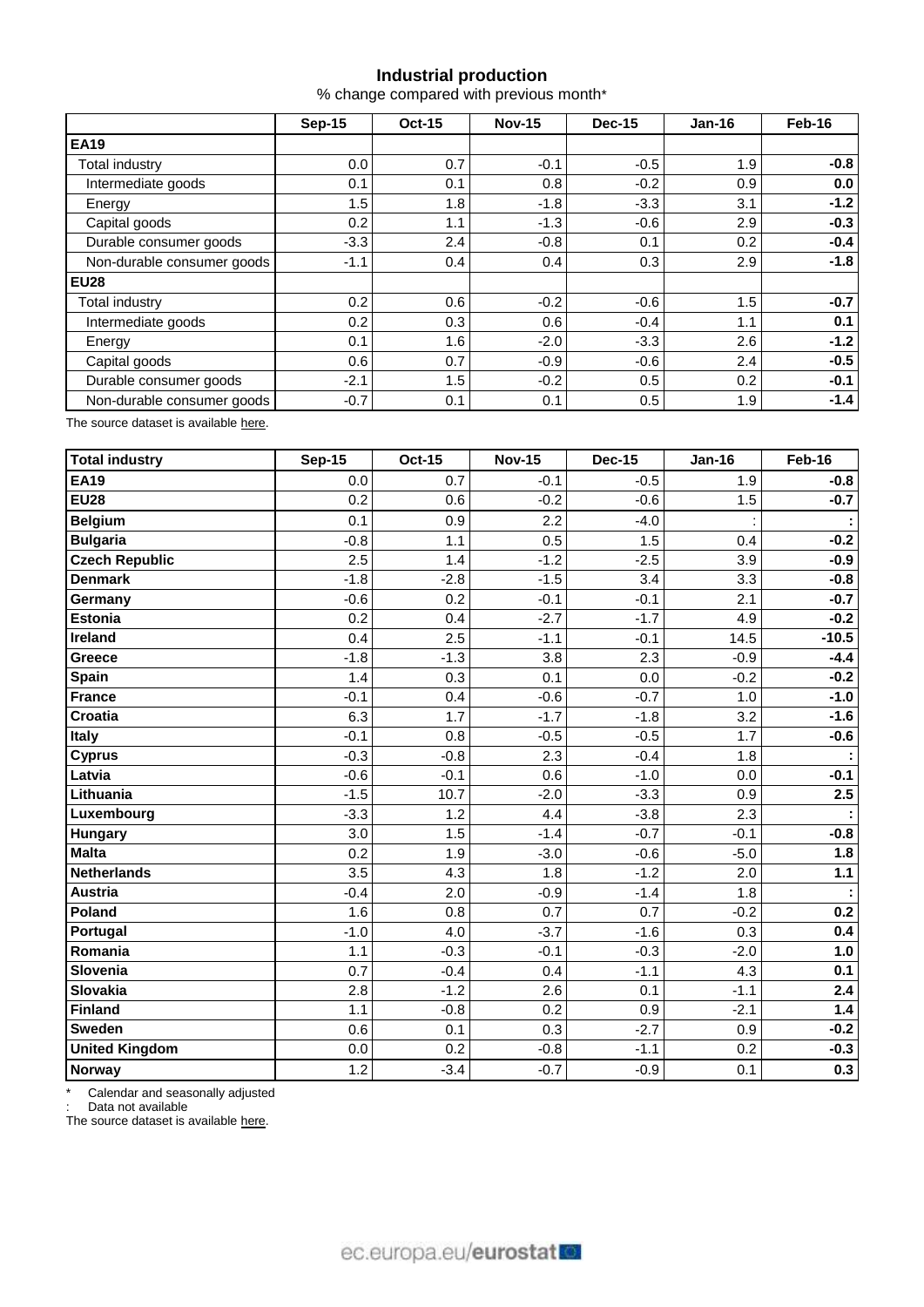## **Industrial production**

% change compared with previous month\*

|                            | Sep-15 | <b>Oct-15</b> | <b>Nov-15</b> | <b>Dec-15</b> | $Jan-16$ | Feb-16 |  |
|----------------------------|--------|---------------|---------------|---------------|----------|--------|--|
| <b>EA19</b>                |        |               |               |               |          |        |  |
| Total industry             | 0.0    | 0.7           | $-0.1$        | $-0.5$        | 1.9      | $-0.8$ |  |
| Intermediate goods         | 0.1    | 0.1           | 0.8           | $-0.2$        | 0.9      | 0.0    |  |
| Energy                     | 1.5    | 1.8           | $-1.8$        | $-3.3$        | 3.1      | $-1.2$ |  |
| Capital goods              | 0.2    | 1.1           | $-1.3$        | $-0.6$        | 2.9      | $-0.3$ |  |
| Durable consumer goods     | $-3.3$ | 2.4           | $-0.8$        | 0.1           | 0.2      | $-0.4$ |  |
| Non-durable consumer goods | $-1.1$ | 0.4           | 0.4           | 0.3           | 2.9      | $-1.8$ |  |
| <b>EU28</b>                |        |               |               |               |          |        |  |
| Total industry             | 0.2    | 0.6           | $-0.2$        | $-0.6$        | 1.5      | $-0.7$ |  |
| Intermediate goods         | 0.2    | 0.3           | 0.6           | $-0.4$        | 1.1      | 0.1    |  |
| Energy                     | 0.1    | 1.6           | $-2.0$        | $-3.3$        | 2.6      | $-1.2$ |  |
| Capital goods              | 0.6    | 0.7           | $-0.9$        | $-0.6$        | 2.4      | $-0.5$ |  |
| Durable consumer goods     | $-2.1$ | 1.5           | $-0.2$        | 0.5           | 0.2      | $-0.1$ |  |
| Non-durable consumer goods | $-0.7$ | 0.1           | 0.1           | 0.5           | 1.9      | $-1.4$ |  |

The source dataset is available [here.](http://appsso.eurostat.ec.europa.eu/nui/show.do?query=BOOKMARK_DS-069601_QID_-3D4B1659_UID_-3F171EB0&layout=TIME,C,X,0;GEO,L,Y,0;NACE_R2,L,Y,1;INDIC_BT,L,Z,0;S_ADJ,L,Z,1;UNIT,L,Z,2;INDICATORS,C,Z,3;&zSelection=DS-069601INDIC_BT,PROD;DS-069601UNIT,PCH_PRE;DS-069601INDICATORS,OBS_FLAG;DS-069601S_ADJ,SWDA;&rankName1=UNIT_1_2_-1_2&rankName2=INDIC-BT_1_2_-1_2&rankName3=INDICATORS_1_2_-1_2&rankName4=S-ADJ_1_2_-1_2&rankName5=TIME_1_0_0_0&rankName6=GEO_1_0_0_1&rankName7=NACE-R2_1_0_1_1&sortR=ASC_-1_FIRST&sortC=ASC_-1_FIRST&rStp=&cStp=&rDCh=&cDCh=&rDM=true&cDM=true&footnes=false&empty=false&wai=false&time_mode=ROLLING&time_most_recent=true&lang=EN&cfo=%23%23%23%2C%23%23%23.%23%23%23)

| <b>Total industry</b> | <b>Sep-15</b> | <b>Oct-15</b> | <b>Nov-15</b> | <b>Dec-15</b> | <b>Jan-16</b> | Feb-16  |
|-----------------------|---------------|---------------|---------------|---------------|---------------|---------|
| <b>EA19</b>           | 0.0           | 0.7           | $-0.1$        | $-0.5$        | 1.9           | $-0.8$  |
| <b>EU28</b>           | 0.2           | 0.6           | $-0.2$        | $-0.6$        | 1.5           | $-0.7$  |
| <b>Belgium</b>        | 0.1           | 0.9           | 2.2           | $-4.0$        |               |         |
| <b>Bulgaria</b>       | $-0.8$        | 1.1           | 0.5           | 1.5           | 0.4           | $-0.2$  |
| <b>Czech Republic</b> | 2.5           | 1.4           | $-1.2$        | $-2.5$        | 3.9           | $-0.9$  |
| <b>Denmark</b>        | $-1.8$        | $-2.8$        | $-1.5$        | 3.4           | 3.3           | $-0.8$  |
| Germany               | $-0.6$        | 0.2           | $-0.1$        | $-0.1$        | 2.1           | $-0.7$  |
| <b>Estonia</b>        | 0.2           | 0.4           | $-2.7$        | $-1.7$        | 4.9           | $-0.2$  |
| <b>Ireland</b>        | 0.4           | 2.5           | $-1.1$        | $-0.1$        | 14.5          | $-10.5$ |
| Greece                | $-1.8$        | $-1.3$        | 3.8           | 2.3           | $-0.9$        | $-4.4$  |
| <b>Spain</b>          | 1.4           | 0.3           | 0.1           | 0.0           | $-0.2$        | $-0.2$  |
| <b>France</b>         | $-0.1$        | 0.4           | $-0.6$        | $-0.7$        | 1.0           | $-1.0$  |
| <b>Croatia</b>        | 6.3           | 1.7           | $-1.7$        | $-1.8$        | 3.2           | $-1.6$  |
| Italy                 | $-0.1$        | 0.8           | $-0.5$        | $-0.5$        | 1.7           | $-0.6$  |
| <b>Cyprus</b>         | $-0.3$        | $-0.8$        | 2.3           | $-0.4$        | 1.8           |         |
| Latvia                | $-0.6$        | $-0.1$        | 0.6           | $-1.0$        | 0.0           | $-0.1$  |
| Lithuania             | $-1.5$        | 10.7          | $-2.0$        | $-3.3$        | 0.9           | 2.5     |
| Luxembourg            | $-3.3$        | 1.2           | 4.4           | $-3.8$        | 2.3           |         |
| Hungary               | 3.0           | 1.5           | $-1.4$        | $-0.7$        | $-0.1$        | $-0.8$  |
| <b>Malta</b>          | 0.2           | 1.9           | $-3.0$        | $-0.6$        | $-5.0$        | 1.8     |
| <b>Netherlands</b>    | 3.5           | 4.3           | 1.8           | $-1.2$        | 2.0           | 1.1     |
| <b>Austria</b>        | $-0.4$        | 2.0           | $-0.9$        | $-1.4$        | 1.8           |         |
| Poland                | 1.6           | 0.8           | 0.7           | 0.7           | $-0.2$        | 0.2     |
| Portugal              | $-1.0$        | 4.0           | $-3.7$        | $-1.6$        | 0.3           | 0.4     |
| Romania               | 1.1           | $-0.3$        | $-0.1$        | $-0.3$        | $-2.0$        | 1.0     |
| Slovenia              | 0.7           | $-0.4$        | 0.4           | $-1.1$        | 4.3           | 0.1     |
| <b>Slovakia</b>       | 2.8           | $-1.2$        | 2.6           | 0.1           | $-1.1$        | 2.4     |
| <b>Finland</b>        | 1.1           | $-0.8$        | 0.2           | 0.9           | $-2.1$        | 1.4     |
| Sweden                | 0.6           | 0.1           | 0.3           | $-2.7$        | 0.9           | $-0.2$  |
| <b>United Kingdom</b> | 0.0           | 0.2           | $-0.8$        | $-1.1$        | 0.2           | $-0.3$  |
| Norway                | 1.2           | $-3.4$        | $-0.7$        | $-0.9$        | 0.1           | 0.3     |

\* Calendar and seasonally adjusted

: Data not available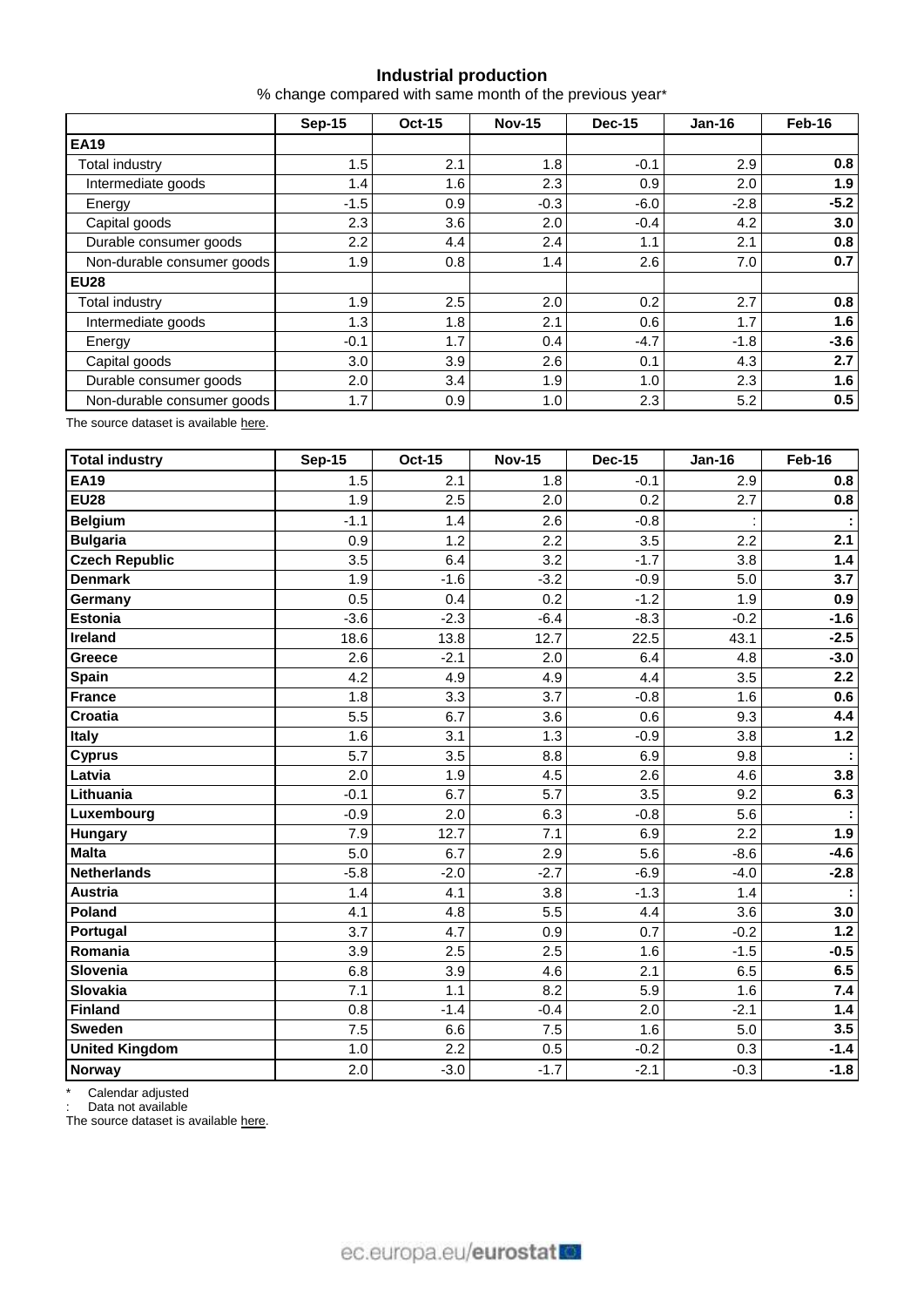## **Industrial production**

% change compared with same month of the previous year\*

|                            | <b>Sep-15</b> | <b>Oct-15</b> | <b>Nov-15</b> | <b>Dec-15</b> | $Jan-16$ | Feb-16 |  |
|----------------------------|---------------|---------------|---------------|---------------|----------|--------|--|
| <b>EA19</b>                |               |               |               |               |          |        |  |
| Total industry             | 1.5           | 2.1           | 1.8           | $-0.1$        | 2.9      | 0.8    |  |
| Intermediate goods         | 1.4           | 1.6           | 2.3           | 0.9           | 2.0      | 1.9    |  |
| Energy                     | $-1.5$        | 0.9           | $-0.3$        | $-6.0$        | $-2.8$   | $-5.2$ |  |
| Capital goods              | 2.3           | 3.6           | 2.0           | $-0.4$        | 4.2      | 3.0    |  |
| Durable consumer goods     | 2.2           | 4.4           | 2.4           | 1.1           | 2.1      | 0.8    |  |
| Non-durable consumer goods | 1.9           | 0.8           | 1.4           | 2.6           | 7.0      | 0.7    |  |
| <b>EU28</b>                |               |               |               |               |          |        |  |
| Total industry             | 1.9           | 2.5           | 2.0           | 0.2           | 2.7      | 0.8    |  |
| Intermediate goods         | 1.3           | 1.8           | 2.1           | 0.6           | 1.7      | 1.6    |  |
| Energy                     | $-0.1$        | 1.7           | 0.4           | $-4.7$        | $-1.8$   | $-3.6$ |  |
| Capital goods              | 3.0           | 3.9           | 2.6           | 0.1           | 4.3      | 2.7    |  |
| Durable consumer goods     | 2.0           | 3.4           | 1.9           | 1.0           | 2.3      | 1.6    |  |
| Non-durable consumer goods | 1.7           | 0.9           | 1.0           | 2.3           | 5.2      | 0.5    |  |

The source dataset is available [here.](http://appsso.eurostat.ec.europa.eu/nui/show.do?query=BOOKMARK_DS-069601_QID_1E707F69_UID_-3F171EB0&layout=TIME,C,X,0;GEO,L,Y,0;NACE_R2,L,Y,1;INDIC_BT,L,Z,0;S_ADJ,L,Z,1;UNIT,L,Z,2;INDICATORS,C,Z,3;&zSelection=DS-069601INDIC_BT,PROD;DS-069601UNIT,PCH_SM;DS-069601INDICATORS,OBS_FLAG;DS-069601S_ADJ,WDA;&rankName1=UNIT_1_2_-1_2&rankName2=INDIC-BT_1_2_-1_2&rankName3=INDICATORS_1_2_-1_2&rankName4=S-ADJ_1_2_-1_2&rankName5=TIME_1_0_0_0&rankName6=GEO_1_0_0_1&rankName7=NACE-R2_1_0_1_1&sortR=ASC_-1_FIRST&sortC=ASC_-1_FIRST&rStp=&cStp=&rDCh=&cDCh=&rDM=true&cDM=true&footnes=false&empty=false&wai=false&time_mode=ROLLING&time_most_recent=true&lang=EN&cfo=%23%23%23%2C%23%23%23.%23%23%23)

| Total industry        | <b>Sep-15</b> | <b>Oct-15</b> | <b>Nov-15</b> | <b>Dec-15</b> | <b>Jan-16</b> | Feb-16 |
|-----------------------|---------------|---------------|---------------|---------------|---------------|--------|
| <b>EA19</b>           | 1.5           | 2.1           | 1.8           | $-0.1$        | 2.9           | 0.8    |
| <b>EU28</b>           | 1.9           | 2.5           | 2.0           | 0.2           | 2.7           | 0.8    |
| Belgium               | $-1.1$        | 1.4           | 2.6           | $-0.8$        |               |        |
| <b>Bulgaria</b>       | 0.9           | 1.2           | 2.2           | 3.5           | 2.2           | 2.1    |
| <b>Czech Republic</b> | 3.5           | 6.4           | 3.2           | $-1.7$        | 3.8           | $1.4$  |
| <b>Denmark</b>        | 1.9           | $-1.6$        | $-3.2$        | $-0.9$        | 5.0           | 3.7    |
| Germany               | 0.5           | 0.4           | 0.2           | $-1.2$        | 1.9           | 0.9    |
| <b>Estonia</b>        | $-3.6$        | $-2.3$        | $-6.4$        | $-8.3$        | $-0.2$        | $-1.6$ |
| Ireland               | 18.6          | 13.8          | 12.7          | 22.5          | 43.1          | $-2.5$ |
| Greece                | 2.6           | $-2.1$        | 2.0           | 6.4           | 4.8           | $-3.0$ |
| <b>Spain</b>          | 4.2           | 4.9           | 4.9           | 4.4           | 3.5           | 2.2    |
| <b>France</b>         | 1.8           | 3.3           | 3.7           | $-0.8$        | 1.6           | 0.6    |
| <b>Croatia</b>        | 5.5           | 6.7           | 3.6           | 0.6           | 9.3           | 4.4    |
| <b>Italy</b>          | 1.6           | 3.1           | 1.3           | $-0.9$        | 3.8           | 1.2    |
| <b>Cyprus</b>         | 5.7           | 3.5           | 8.8           | 6.9           | 9.8           |        |
| Latvia                | 2.0           | 1.9           | 4.5           | 2.6           | 4.6           | 3.8    |
| Lithuania             | $-0.1$        | 6.7           | 5.7           | 3.5           | 9.2           | 6.3    |
| Luxembourg            | $-0.9$        | 2.0           | 6.3           | $-0.8$        | 5.6           |        |
| <b>Hungary</b>        | 7.9           | 12.7          | 7.1           | 6.9           | 2.2           | 1.9    |
| <b>Malta</b>          | 5.0           | 6.7           | 2.9           | 5.6           | $-8.6$        | $-4.6$ |
| <b>Netherlands</b>    | $-5.8$        | $-2.0$        | $-2.7$        | $-6.9$        | $-4.0$        | $-2.8$ |
| <b>Austria</b>        | 1.4           | 4.1           | 3.8           | $-1.3$        | 1.4           |        |
| Poland                | 4.1           | 4.8           | 5.5           | 4.4           | 3.6           | 3.0    |
| Portugal              | 3.7           | 4.7           | 0.9           | 0.7           | $-0.2$        | $1.2$  |
| Romania               | 3.9           | 2.5           | 2.5           | 1.6           | $-1.5$        | $-0.5$ |
| Slovenia              | 6.8           | 3.9           | 4.6           | 2.1           | 6.5           | 6.5    |
| Slovakia              | 7.1           | 1.1           | 8.2           | 5.9           | 1.6           | 7.4    |
| Finland               | 0.8           | $-1.4$        | $-0.4$        | 2.0           | $-2.1$        | $1.4$  |
| <b>Sweden</b>         | 7.5           | 6.6           | 7.5           | 1.6           | 5.0           | 3.5    |
| <b>United Kingdom</b> | 1.0           | 2.2           | 0.5           | $-0.2$        | 0.3           | $-1.4$ |
| Norway                | 2.0           | $-3.0$        | $-1.7$        | $-2.1$        | $-0.3$        | $-1.8$ |

\* Calendar adjusted

: Data not available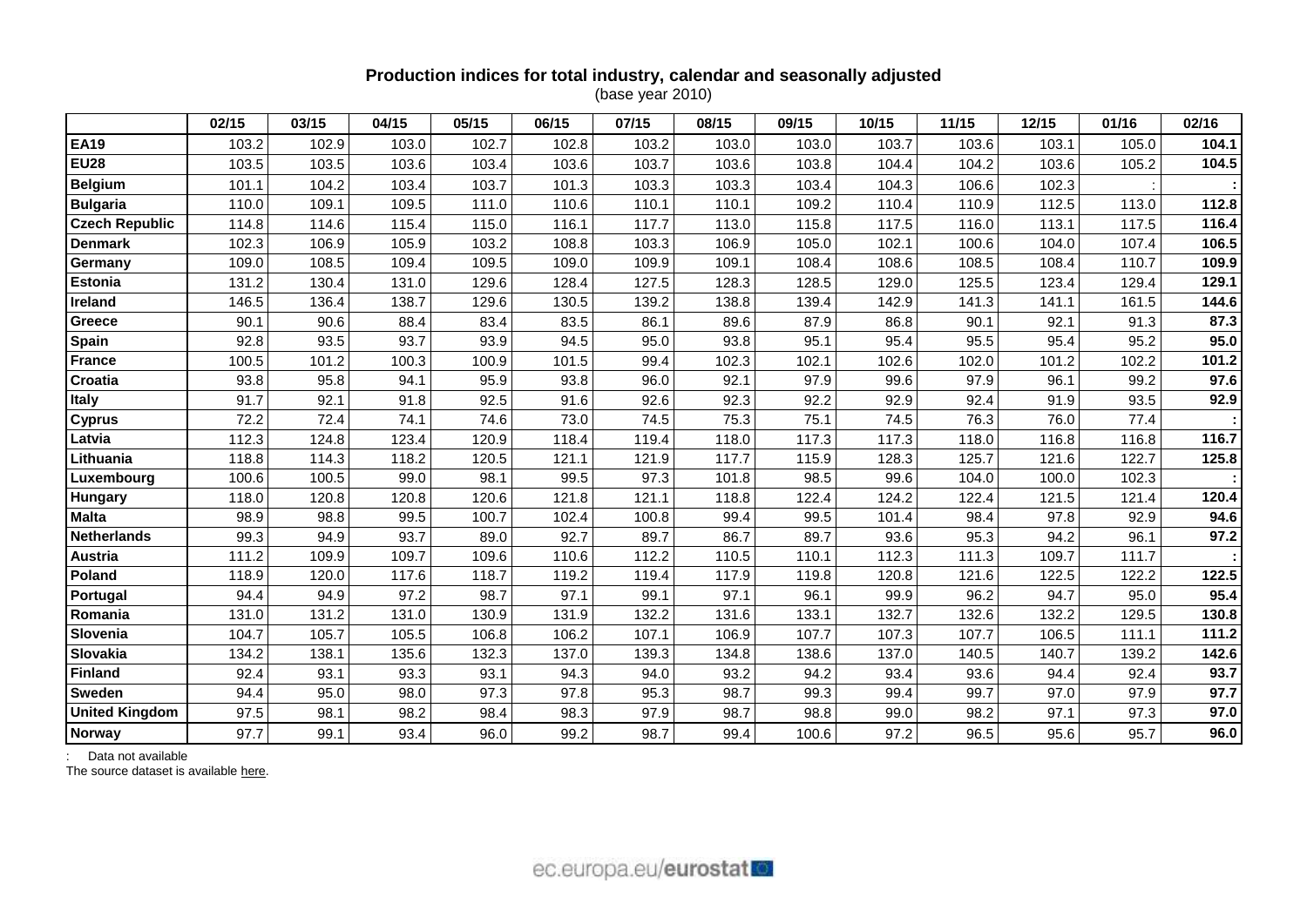# **Production indices for total industry, calendar and seasonally adjusted**

(base year 2010)

|                       | 02/15 | 03/15 | 04/15 | 05/15 | 06/15 | 07/15 | 08/15 | 09/15 | 10/15 | 11/15 | 12/15 | 01/16 | 02/16 |
|-----------------------|-------|-------|-------|-------|-------|-------|-------|-------|-------|-------|-------|-------|-------|
| <b>EA19</b>           | 103.2 | 102.9 | 103.0 | 102.7 | 102.8 | 103.2 | 103.0 | 103.0 | 103.7 | 103.6 | 103.1 | 105.0 | 104.1 |
| <b>EU28</b>           | 103.5 | 103.5 | 103.6 | 103.4 | 103.6 | 103.7 | 103.6 | 103.8 | 104.4 | 104.2 | 103.6 | 105.2 | 104.5 |
| <b>Belgium</b>        | 101.1 | 104.2 | 103.4 | 103.7 | 101.3 | 103.3 | 103.3 | 103.4 | 104.3 | 106.6 | 102.3 |       |       |
| <b>Bulgaria</b>       | 110.0 | 109.1 | 109.5 | 111.0 | 110.6 | 110.1 | 110.1 | 109.2 | 110.4 | 110.9 | 112.5 | 113.0 | 112.8 |
| <b>Czech Republic</b> | 114.8 | 114.6 | 115.4 | 115.0 | 116.1 | 117.7 | 113.0 | 115.8 | 117.5 | 116.0 | 113.1 | 117.5 | 116.4 |
| <b>Denmark</b>        | 102.3 | 106.9 | 105.9 | 103.2 | 108.8 | 103.3 | 106.9 | 105.0 | 102.1 | 100.6 | 104.0 | 107.4 | 106.5 |
| Germany               | 109.0 | 108.5 | 109.4 | 109.5 | 109.0 | 109.9 | 109.1 | 108.4 | 108.6 | 108.5 | 108.4 | 110.7 | 109.9 |
| <b>Estonia</b>        | 131.2 | 130.4 | 131.0 | 129.6 | 128.4 | 127.5 | 128.3 | 128.5 | 129.0 | 125.5 | 123.4 | 129.4 | 129.1 |
| Ireland               | 146.5 | 136.4 | 138.7 | 129.6 | 130.5 | 139.2 | 138.8 | 139.4 | 142.9 | 141.3 | 141.1 | 161.5 | 144.6 |
| Greece                | 90.1  | 90.6  | 88.4  | 83.4  | 83.5  | 86.1  | 89.6  | 87.9  | 86.8  | 90.1  | 92.1  | 91.3  | 87.3  |
| Spain                 | 92.8  | 93.5  | 93.7  | 93.9  | 94.5  | 95.0  | 93.8  | 95.1  | 95.4  | 95.5  | 95.4  | 95.2  | 95.0  |
| <b>France</b>         | 100.5 | 101.2 | 100.3 | 100.9 | 101.5 | 99.4  | 102.3 | 102.1 | 102.6 | 102.0 | 101.2 | 102.2 | 101.2 |
| Croatia               | 93.8  | 95.8  | 94.1  | 95.9  | 93.8  | 96.0  | 92.1  | 97.9  | 99.6  | 97.9  | 96.1  | 99.2  | 97.6  |
| <b>Italy</b>          | 91.7  | 92.1  | 91.8  | 92.5  | 91.6  | 92.6  | 92.3  | 92.2  | 92.9  | 92.4  | 91.9  | 93.5  | 92.9  |
| <b>Cyprus</b>         | 72.2  | 72.4  | 74.1  | 74.6  | 73.0  | 74.5  | 75.3  | 75.1  | 74.5  | 76.3  | 76.0  | 77.4  |       |
| Latvia                | 112.3 | 124.8 | 123.4 | 120.9 | 118.4 | 119.4 | 118.0 | 117.3 | 117.3 | 118.0 | 116.8 | 116.8 | 116.7 |
| Lithuania             | 118.8 | 114.3 | 118.2 | 120.5 | 121.1 | 121.9 | 117.7 | 115.9 | 128.3 | 125.7 | 121.6 | 122.7 | 125.8 |
| Luxembourg            | 100.6 | 100.5 | 99.0  | 98.1  | 99.5  | 97.3  | 101.8 | 98.5  | 99.6  | 104.0 | 100.0 | 102.3 |       |
| Hungary               | 118.0 | 120.8 | 120.8 | 120.6 | 121.8 | 121.1 | 118.8 | 122.4 | 124.2 | 122.4 | 121.5 | 121.4 | 120.4 |
| <b>Malta</b>          | 98.9  | 98.8  | 99.5  | 100.7 | 102.4 | 100.8 | 99.4  | 99.5  | 101.4 | 98.4  | 97.8  | 92.9  | 94.6  |
| <b>Netherlands</b>    | 99.3  | 94.9  | 93.7  | 89.0  | 92.7  | 89.7  | 86.7  | 89.7  | 93.6  | 95.3  | 94.2  | 96.1  | 97.2  |
| Austria               | 111.2 | 109.9 | 109.7 | 109.6 | 110.6 | 112.2 | 110.5 | 110.1 | 112.3 | 111.3 | 109.7 | 111.7 |       |
| Poland                | 118.9 | 120.0 | 117.6 | 118.7 | 119.2 | 119.4 | 117.9 | 119.8 | 120.8 | 121.6 | 122.5 | 122.2 | 122.5 |
| Portugal              | 94.4  | 94.9  | 97.2  | 98.7  | 97.1  | 99.1  | 97.1  | 96.1  | 99.9  | 96.2  | 94.7  | 95.0  | 95.4  |
| Romania               | 131.0 | 131.2 | 131.0 | 130.9 | 131.9 | 132.2 | 131.6 | 133.1 | 132.7 | 132.6 | 132.2 | 129.5 | 130.8 |
| Slovenia              | 104.7 | 105.7 | 105.5 | 106.8 | 106.2 | 107.1 | 106.9 | 107.7 | 107.3 | 107.7 | 106.5 | 111.1 | 111.2 |
| Slovakia              | 134.2 | 138.1 | 135.6 | 132.3 | 137.0 | 139.3 | 134.8 | 138.6 | 137.0 | 140.5 | 140.7 | 139.2 | 142.6 |
| Finland               | 92.4  | 93.1  | 93.3  | 93.1  | 94.3  | 94.0  | 93.2  | 94.2  | 93.4  | 93.6  | 94.4  | 92.4  | 93.7  |
| <b>Sweden</b>         | 94.4  | 95.0  | 98.0  | 97.3  | 97.8  | 95.3  | 98.7  | 99.3  | 99.4  | 99.7  | 97.0  | 97.9  | 97.7  |
| <b>United Kingdom</b> | 97.5  | 98.1  | 98.2  | 98.4  | 98.3  | 97.9  | 98.7  | 98.8  | 99.0  | 98.2  | 97.1  | 97.3  | 97.0  |
| <b>Norway</b>         | 97.7  | 99.1  | 93.4  | 96.0  | 99.2  | 98.7  | 99.4  | 100.6 | 97.2  | 96.5  | 95.6  | 95.7  | 96.0  |

: Data not available